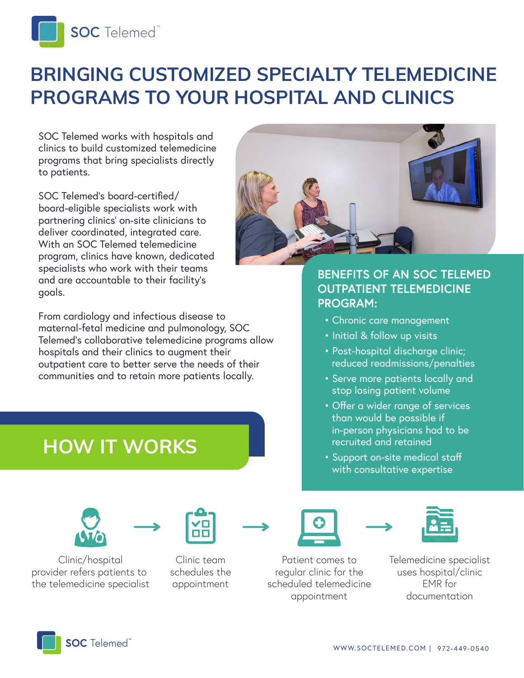

# **BRINGING CUSTOMIZED SPECIALTY TELEMEDICINE PROGRAMS TO YOUR HOSPITAL AND CLINICS**

SOC Telemed works with hospitals and clinics to build customized telemedicine programs that bring specialists directly to patients.

SOC Telemed's board-certified/ board-eligible specialists work with partnering clinics' on-site clinicians to deliver coordinated, integrated care. With an SOC Telemed telemedicine program, clinics have known, dedicated specialists who work with their teams and are accountable to their facility's goals.

From cardiology and infectious disease to maternal-fetal medicine and pulmonology, SOC Telemed's collaborative telemedicine programs allow hospitals and their clinics to augment their outpatient care to better serve the needs of their communities and to retain more patients locally.

**HOW IT WORKS**





Clinic/hospital provider refers patients to the telemedicine specialist







### **BENEFITS OF AN SOC TELEMED OUTPATIENT TELEMEDICINE PROGRAM:**

- Chronic care management
- Initial & follow up visits
- Post-hospital discharge clinic; reduced readmissions/penalties
- Serve more patients locally and stop losing patient volume
- Offer a wider range of services than would be possible if in-person physicians had to be recruited and retained
- Support on-site medical staff with consultative expertise





Patient comes to regular clinic for the scheduled telemedicine appointment

Telemedicine specialist uses hospital/clinic EMR for documentation